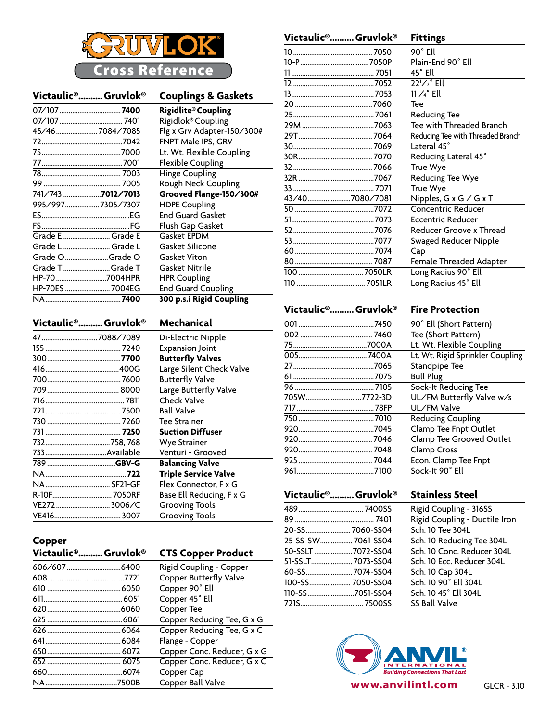

|                   | Victaulic® Gruvlok® | <b>Couplings &amp; Gaskets</b> |
|-------------------|---------------------|--------------------------------|
|                   |                     | <b>Rigidlite® Coupling</b>     |
|                   |                     | Rigidlok® Coupling             |
| 45/467084/7085    |                     | Flg x Grv Adapter-150/300#     |
|                   |                     | <b>FNPT Male IPS, GRV</b>      |
|                   |                     | Lt. Wt. Flexible Coupling      |
|                   |                     | <b>Flexible Coupling</b>       |
|                   |                     | <b>Hinge Coupling</b>          |
|                   |                     | Rough Neck Coupling            |
| 741/743 7012/7013 |                     | Grooved Flange-150/300#        |
| 995/9977305/7307  |                     | <b>HDPE Coupling</b>           |
|                   |                     | <b>End Guard Gasket</b>        |
|                   |                     | Flush Gap Gasket               |
| Grade E  Grade E  |                     | <b>Gasket EPDM</b>             |
| Grade L  Grade L  |                     | Gasket Silicone                |
| Grade OGrade O    |                     | Gasket Viton                   |
| Grade TGrade T    |                     | Gasket Nitrile                 |
| HP-70 7004HPR     |                     | <b>HPR Coupling</b>            |
| HP-70ES  7004EG   |                     | <b>End Guard Coupling</b>      |
|                   |                     | 300 p.s.i Rigid Coupling       |

| Victaulic <sup>®</sup> Gruvlok® | Mechanical                  |
|---------------------------------|-----------------------------|
|                                 | Di-Electric Nipple          |
|                                 | <b>Expansion Joint</b>      |
|                                 | <b>Butterfly Valves</b>     |
|                                 | Large Silent Check Valve    |
|                                 | <b>Butterfly Valve</b>      |
|                                 | Large Butterfly Valve       |
|                                 | <b>Check Valve</b>          |
|                                 | <b>Ball Valve</b>           |
|                                 | <b>Tee Strainer</b>         |
|                                 | <b>Suction Diffuser</b>     |
|                                 | <b>Wye Strainer</b>         |
|                                 | Venturi - Grooved           |
|                                 | <b>Balancing Valve</b>      |
|                                 | <b>Triple Service Valve</b> |
|                                 | Flex Connector, F x G       |
|                                 | Base Ell Reducing, F x G    |
| VE2723006/C                     | <b>Grooving Tools</b>       |
|                                 | <b>Grooving Tools</b>       |

|                | Plain-End 90° Ell                       |
|----------------|-----------------------------------------|
|                | 45° Ell                                 |
|                | $22^{1}/2^{\circ}$ Ell                  |
|                | $11^{1}/4^{\circ}$ Ell                  |
|                | Tee                                     |
|                | <b>Reducing Tee</b>                     |
|                | Tee with Threaded Branch                |
|                | Reducing Tee with Threaded Branch       |
|                | Lateral 45°                             |
|                | Reducing Lateral 45°                    |
|                | True Wye                                |
|                | Reducing Tee Wye                        |
|                | True Wye                                |
| 43/407080/7081 | Nipples, $G \times G \times G \times T$ |
|                | <b>Concentric Reducer</b>               |
|                | Eccentric Reducer                       |
|                | Reducer Groove x Thread                 |
|                | Swaged Reducer Nipple                   |
|                | Cap                                     |
|                | Female Threaded Adapter                 |
|                | Long Radius 90° Ell                     |

**Victaulic®...........Gruvlok® Fittings** 10............................................. 7050 90˚ Ell

### **Victaulic®...........Gruvlok® Fire Protection**

| 7450        | 90° Ell (Short Pattern)          |
|-------------|----------------------------------|
|             | Tee (Short Pattern)              |
|             | Lt. Wt. Flexible Coupling        |
|             | Lt. Wt. Rigid Sprinkler Coupling |
|             | Standpipe Tee                    |
|             | <b>Bull Plug</b>                 |
|             | Sock-It Reducing Tee             |
| 705W7722-3D | UL/FM Butterfly Valve w/s        |
|             | UL/FM Valve                      |
|             | <b>Reducing Coupling</b>         |
| .7045       | Clamp Tee Fnpt Outlet            |
|             | Clamp Tee Grooved Outlet         |
|             | Clamp Cross                      |
|             | Econ. Clamp Tee Fnpt             |
| .7100       | Sock-It 90° Ell                  |

110....................................... 7051LR Long Radius 45˚ Ell

**Victaulic®...........Gruvlok® Stainless Steel** 489..................................... 7400SS Rigid Coupling - 316SS 89............................................. 7401 Rigid Coupling - Ductile Iron 20-SS.......................... 7060-SS04 Sch. 10 Tee 304L 25-SS-SW.................. 7061-SS04 Sch. 10 Reducing Tee 304L 50-SSLT......................7072-SS04 Sch. 10 Conc. Reducer 304L 51-SSLT........................7073-SS04 Sch. 10 Ecc. Reducer 304L 60-SS................................7074-SS04 100-SS........................ 7050-SS04 Sch. 10 90˚ Ell 304L 110-SS...............................7051-SS04 721S.................................... 7500SS SS Ball Valve



### **Copper**

| Victaulic <sup>®</sup> Gruvlok <sup>®</sup> | <b>CTS Copper Product</b>   |
|---------------------------------------------|-----------------------------|
|                                             | Rigid Coupling - Copper     |
|                                             | Copper Butterfly Valve      |
|                                             | Copper 90° Ell              |
|                                             | Copper 45° Ell              |
|                                             | Copper Tee                  |
|                                             | Copper Reducing Tee, G x G  |
|                                             | Copper Reducing Tee, G x C  |
|                                             | Flange - Copper             |
|                                             | Copper Conc. Reducer, G x G |
|                                             | Copper Conc. Reducer, G x C |
|                                             | Copper Cap                  |
| .7500B                                      | Copper Ball Valve           |